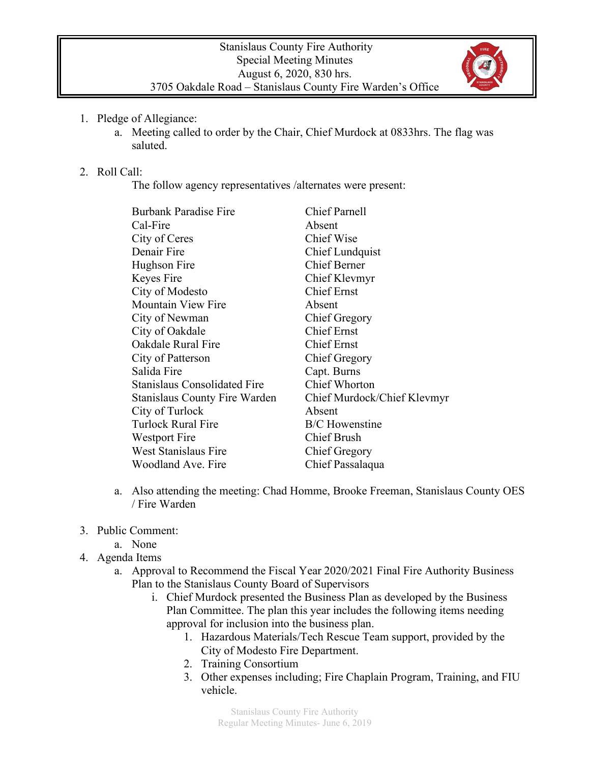

- 1. Pledge of Allegiance:
	- a. Meeting called to order by the Chair, Chief Murdock at 0833hrs. The flag was saluted.

## 2. Roll Call:

The follow agency representatives /alternates were present:

| <b>Chief Parnell</b>        |
|-----------------------------|
| Absent                      |
| Chief Wise                  |
| Chief Lundquist             |
| <b>Chief Berner</b>         |
| Chief Klevmyr               |
| <b>Chief Ernst</b>          |
| Absent                      |
| <b>Chief Gregory</b>        |
| <b>Chief Ernst</b>          |
| <b>Chief Ernst</b>          |
| Chief Gregory               |
| Capt. Burns                 |
| <b>Chief Whorton</b>        |
| Chief Murdock/Chief Klevmyr |
| Absent                      |
| <b>B/C</b> Howenstine       |
| <b>Chief Brush</b>          |
| Chief Gregory               |
| Chief Passalaqua            |
|                             |

- a. Also attending the meeting: Chad Homme, Brooke Freeman, Stanislaus County OES / Fire Warden
- 3. Public Comment:
	- a. None
- 4. Agenda Items
	- a. Approval to Recommend the Fiscal Year 2020/2021 Final Fire Authority Business Plan to the Stanislaus County Board of Supervisors
		- i. Chief Murdock presented the Business Plan as developed by the Business Plan Committee. The plan this year includes the following items needing approval for inclusion into the business plan.
			- 1. Hazardous Materials/Tech Rescue Team support, provided by the City of Modesto Fire Department.
			- 2. Training Consortium
			- 3. Other expenses including; Fire Chaplain Program, Training, and FIU vehicle.